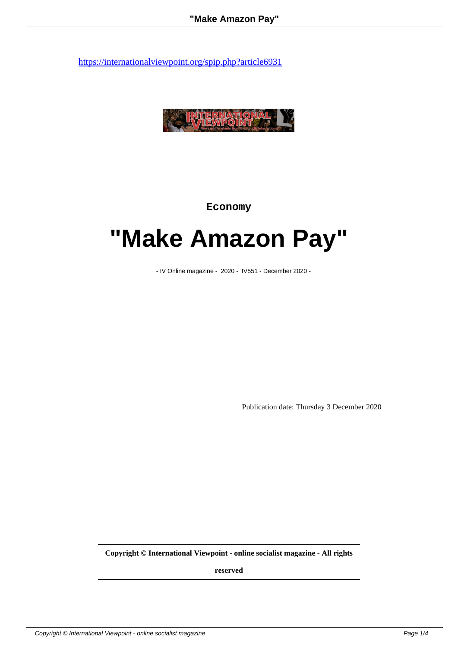

**Economy**

## **"Make Amazon Pay"**

- IV Online magazine - 2020 - IV551 - December 2020 -

Publication date: Thursday 3 December 2020

**Copyright © International Viewpoint - online socialist magazine - All rights**

**reserved**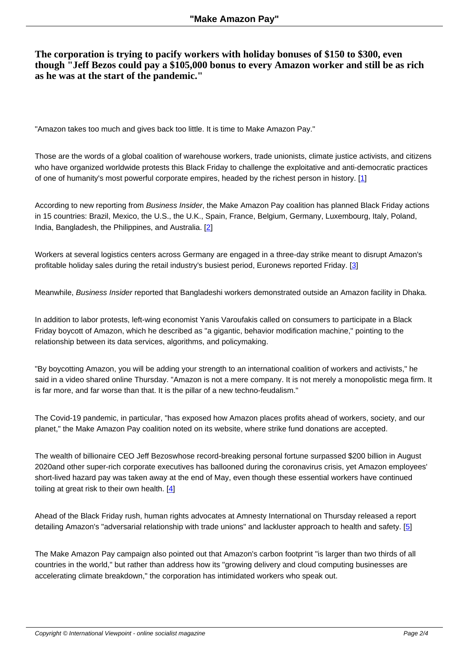**The corporation is trying to pacify workers with holiday bonuses of \$150 to \$300, even though "Jeff Bezos could pay a \$105,000 bonus to every Amazon worker and still be as rich as he was at the start of the pandemic."**

"Amazon takes too much and gives back too little. It is time to Make Amazon Pay."

Those are the words of a global coalition of warehouse workers, trade unionists, climate justice activists, and citizens who have organized worldwide protests this Black Friday to challenge the exploitative and anti-democratic practices of one of humanity's most powerful corporate empires, headed by the richest person in history. [1]

According to new reporting from Business Insider, the Make Amazon Pay coalition has planned Black Friday actions in 15 countries: Brazil, Mexico, the U.S., the U.K., Spain, France, Belgium, Germany, Luxembo[urg](#nb1), Italy, Poland, India, Bangladesh, the Philippines, and Australia. [2]

Workers at several logistics centers across Germany are engaged in a three-day strike meant to disrupt Amazon's profitable holiday sales during the retail industry's [bu](#nb2)siest period, Euronews reported Friday. [3]

Meanwhile, Business Insider reported that Bangladeshi workers demonstrated outside an Amazon facility in Dhaka.

In addition to labor protests, left-wing economist Yanis Varoufakis called on consumers to participate in a Black Friday boycott of Amazon, which he described as "a gigantic, behavior modification machine," pointing to the relationship between its data services, algorithms, and policymaking.

"By boycotting Amazon, you will be adding your strength to an international coalition of workers and activists," he said in a video shared online Thursday. "Amazon is not a mere company. It is not merely a monopolistic mega firm. It is far more, and far worse than that. It is the pillar of a new techno-feudalism."

The Covid-19 pandemic, in particular, "has exposed how Amazon places profits ahead of workers, society, and our planet," the Make Amazon Pay coalition noted on its website, where strike fund donations are accepted.

The wealth of billionaire CEO Jeff Bezoswhose record-breaking personal fortune surpassed \$200 billion in August 2020and other super-rich corporate executives has ballooned during the coronavirus crisis, yet Amazon employees' short-lived hazard pay was taken away at the end of May, even though these essential workers have continued toiling at great risk to their own health. [4]

Ahead of the Black Friday rush, human rights advocates at Amnesty International on Thursday released a report detailing Amazon's "adversarial relatio[nsh](#nb4)ip with trade unions" and lackluster approach to health and safety. [5]

The Make Amazon Pay campaign also pointed out that Amazon's carbon footprint "is larger than two thirds of all countries in the world," but rather than address how its "growing delivery and cloud computing businesses ar[e](#nb5) accelerating climate breakdown," the corporation has intimidated workers who speak out.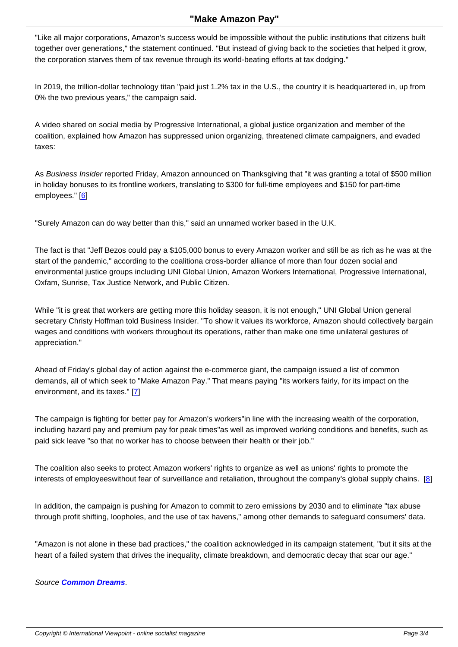Like all major corporations, Amazon's success would be impossible without the public institutions that citizens built together over generations," the statement continued. "But instead of giving back to the societies that helped it grow, the corporation starves them of tax revenue through its world-beating efforts at tax dodging."

In 2019, the trillion-dollar technology titan "paid just 1.2% tax in the U.S., the country it is headquartered in, up from 0% the two previous years," the campaign said.

A video shared on social media by Progressive International, a global justice organization and member of the coalition, explained how Amazon has suppressed union organizing, threatened climate campaigners, and evaded taxes:

As Business Insider reported Friday, Amazon announced on Thanksgiving that "it was granting a total of \$500 million in holiday bonuses to its frontline workers, translating to \$300 for full-time employees and \$150 for part-time employees." [6]

"Surely Amazon can do way better than this," said an unnamed worker based in the U.K.

The fact is that "Jeff Bezos could pay a \$105,000 bonus to every Amazon worker and still be as rich as he was at the start of the pandemic," according to the coalition a cross-border alliance of more than four dozen social and environmental justice groups including UNI Global Union, Amazon Workers International, Progressive International, Oxfam, Sunrise, Tax Justice Network, and Public Citizen.

While "it is great that workers are getting more this holiday season, it is not enough," UNI Global Union general secretary Christy Hoffman told Business Insider. "To show it values its workforce, Amazon should collectively bargain wages and conditions with workers throughout its operations, rather than make one time unilateral gestures of appreciation."

Ahead of Friday's global day of action against the e-commerce giant, the campaign issued a list of common demands, all of which seek to "Make Amazon Pay." That means paying "its workers fairly, for its impact on the environment, and its taxes." [7]

The campaign is fighting for better pay for Amazon's workers "in line with the increasing wealth of the corporation, including hazard pay and pre[m](#nb7)ium pay for peak times" as well as improved working conditions and benefits, such as paid sick leave "so that no worker has to choose between their health or their job."

The coalition also seeks to protect Amazon workers' rights to organize as well as unions' rights to promote the interests of employees without fear of surveillance and retaliation, throughout the company's global supply chains.  $[8]$ 

In addition, the campaign is pushing for Amazon to commit to zero emissions by 2030 and to eliminate "tax abuse through profit shifting, loopholes, and the use of tax havens," among other demands to safeguard consumers' data.

"Amazon is not alone in these bad practices," the coalition acknowledged in its campaign statement, "but it sits at the heart of a failed system that drives the inequality, climate breakdown, and democratic decay that scar our age."

Source **Common Dreams**.